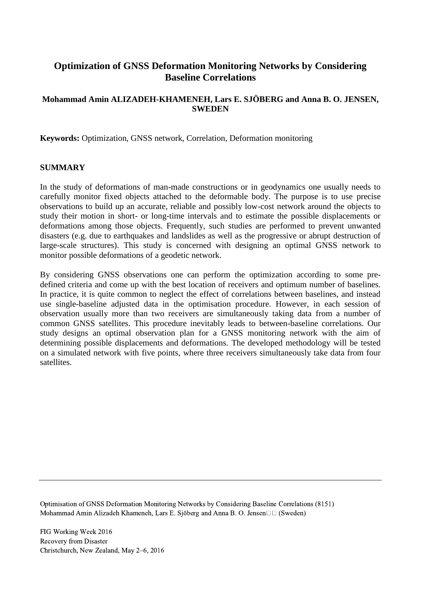# **Optimization of GNSS Deformation Monitoring Networks by Considering Baseline Correlations**

## **Mohammad Amin ALIZADEH-KHAMENEH, Lars E. SJÖBERG and Anna B. O. JENSEN, SWEDEN**

**Keywords:** Optimization, GNSS network, Correlation, Deformation monitoring

### **SUMMARY**

In the study of deformations of man-made constructions or in geodynamics one usually needs to carefully monitor fixed objects attached to the deformable body. The purpose is to use precise observations to build up an accurate, reliable and possibly low-cost network around the objects to study their motion in short- or long-time intervals and to estimate the possible displacements or deformations among those objects. Frequently, such studies are performed to prevent unwanted disasters (e.g. due to earthquakes and landslides as well as the progressive or abrupt destruction of large-scale structures). This study is concerned with designing an optimal GNSS network to monitor possible deformations of a geodetic network.

By considering GNSS observations one can perform the optimization according to some predefined criteria and come up with the best location of receivers and optimum number of baselines. In practice, it is quite common to neglect the effect of correlations between baselines, and instead use single-baseline adjusted data in the optimisation procedure. However, in each session of observation usually more than two receivers are simultaneously taking data from a number of common GNSS satellites. This procedure inevitably leads to between-baseline correlations. Our study designs an optimal observation plan for a GNSS monitoring network with the aim of determining possible displacements and deformations. The developed methodology will be tested on a simulated network with five points, where three receivers simultaneously take data from four satellites.

Optimisation of GNSS Deformation Monitoring Networks by Considering Baseline Correlations (8151) Mohammad Amin Alizadeh Khameneh, Lars E. Sjöberg and Anna B. O. Jensen $\Box$  (Sweden)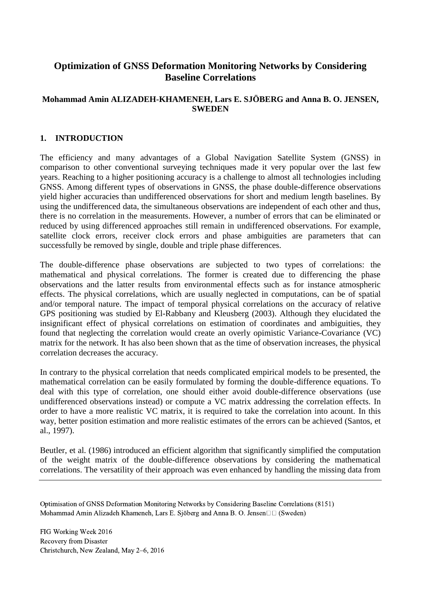# **Optimization of GNSS Deformation Monitoring Networks by Considering Baseline Correlations**

## **Mohammad Amin ALIZADEH-KHAMENEH, Lars E. SJÖBERG and Anna B. O. JENSEN, SWEDEN**

## **1. INTRODUCTION**

The efficiency and many advantages of a Global Navigation Satellite System (GNSS) in comparison to other conventional surveying techniques made it very popular over the last few years. Reaching to a higher positioning accuracy is a challenge to almost all technologies including GNSS. Among different types of observations in GNSS, the phase double-difference observations yield higher accuracies than undifferenced observations for short and medium length baselines. By using the undifferenced data, the simultaneous observations are independent of each other and thus, there is no correlation in the measurements. However, a number of errors that can be eliminated or reduced by using differenced approaches still remain in undifferenced observations. For example, satellite clock errors, receiver clock errors and phase ambiguities are parameters that can successfully be removed by single, double and triple phase differences.

The double-difference phase observations are subjected to two types of correlations: the mathematical and physical correlations. The former is created due to differencing the phase observations and the latter results from environmental effects such as for instance atmospheric effects. The physical correlations, which are usually neglected in computations, can be of spatial and/or temporal nature. The impact of temporal physical correlations on the accuracy of relative GPS positioning was studied by El-Rabbany and Kleusberg (2003). Although they elucidated the insignificant effect of physical correlations on estimation of coordinates and ambiguities, they found that neglecting the correlation would create an overly opimistic Variance-Covariance (VC) matrix for the network. It has also been shown that as the time of observation increases, the physical correlation decreases the accuracy.

In contrary to the physical correlation that needs complicated empirical models to be presented, the mathematical correlation can be easily formulated by forming the double-difference equations. To deal with this type of correlation, one should either avoid double-difference observations (use undifferenced observations instead) or compute a VC matrix addressing the correlation effects. In order to have a more realistic VC matrix, it is required to take the correlation into acount. In this way, better position estimation and more realistic estimates of the errors can be achieved (Santos, et al., 1997).

Beutler, et al. (1986) introduced an efficient algorithm that significantly simplified the computation of the weight matrix of the double-difference observations by considering the mathematical correlations. The versatility of their approach was even enhanced by handling the missing data from

Optimisation of GNSS Deformation Monitoring Networks by Considering Baseline Correlations (8151) Mohammad Amin Alizadeh Khameneh, Lars E. Sjöberg and Anna B. O. Jensen $\Box$  (Sweden)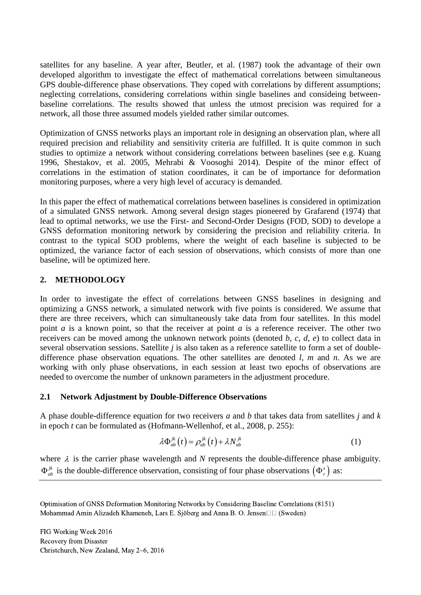satellites for any baseline. A year after, Beutler, et al. (1987) took the advantage of their own developed algorithm to investigate the effect of mathematical correlations between simultaneous GPS double-difference phase observations. They coped with correlations by different assumptions; neglecting correlations, considering correlations within single baselines and consideing betweenbaseline correlations. The results showed that unless the utmost precision was required for a network, all those three assumed models yielded rather similar outcomes.

Optimization of GNSS networks plays an important role in designing an observation plan, where all required precision and reliability and sensitivity criteria are fulfilled. It is quite common in such studies to optimize a network without considering correlations between baselines (see e.g. Kuang 1996, Shestakov, et al. 2005, Mehrabi & Voosoghi 2014). Despite of the minor effect of correlations in the estimation of station coordinates, it can be of importance for deformation monitoring purposes, where a very high level of accuracy is demanded.

In this paper the effect of mathematical correlations between baselines is considered in optimization of a simulated GNSS network. Among several design stages pioneered by Grafarend (1974) that lead to optimal networks, we use the First- and Second-Order Designs (FOD, SOD) to develope a GNSS deformation monitoring network by considering the precision and reliability criteria. In contrast to the typical SOD problems, where the weight of each baseline is subjected to be optimized, the variance factor of each session of observations, which consists of more than one baseline, will be optimized here.

## **2. METHODOLOGY**

In order to investigate the effect of correlations between GNSS baselines in designing and optimizing a GNSS network, a simulated network with five points is considered. We assume that there are three receivers, which can simultaneously take data from four satellites. In this model point *a* is a known point, so that the receiver at point *a* is a reference receiver. The other two receivers can be moved among the unknown network points (denoted *b*, *c*, *d*, *e*) to collect data in several observation sessions. Satellite *j* is also taken as a reference satellite to form a set of doubledifference phase observation equations. The other satellites are denoted *l*, *m* and *n*. As we are working with only phase observations, in each session at least two epochs of observations are needed to overcome the number of unknown parameters in the adjustment procedure.

## **2.1 Network Adjustment by Double-Difference Observations**

A phase double-difference equation for two receivers *a* and *b* that takes data from satellites *j* and *k* in epoch *t* can be formulated as (Hofmann-Wellenhof, et al., 2008, p. 255):

$$
\lambda \Phi_{ab}^{jk}(t) = \rho_{ab}^{jk}(t) + \lambda N_{ab}^{jk}
$$
 (1)

where  $\lambda$  is the carrier phase wavelength and  $N$  represents the double-difference phase ambiguity.  $\Phi_{ab}^{jk}$  $j_a^k$  is the double-difference observation, consisting of four phase observations  $(\Phi_r^s)$  as:

Optimisation of GNSS Deformation Monitoring Networks by Considering Baseline Correlations (8151) Mohammad Amin Alizadeh Khameneh, Lars E. Sjöberg and Anna B. O. Jensen $\Box$  (Sweden)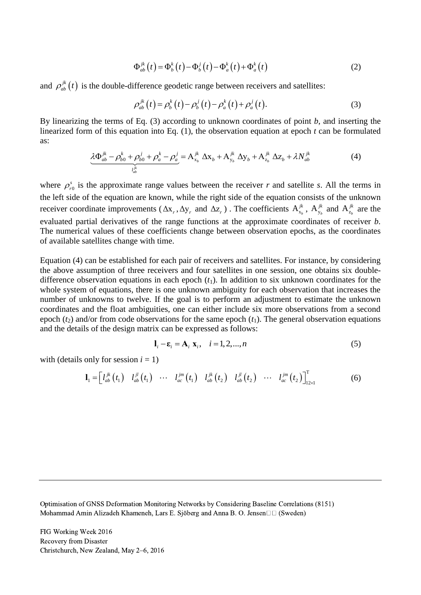$$
\Phi_{ab}^{jk}(t) = \Phi_b^k(t) - \Phi_b^j(t) - \Phi_a^k(t) + \Phi_a^k(t)
$$
\n(2)

and  $\rho_{ab}^{jk}(t)$  is the double-difference geodetic range between receivers and satellites:

$$
\rho_{ab}^{jk}(t) = \rho_b^k(t) - \rho_b^j(t) - \rho_a^k(t) + \rho_a^j(t).
$$
\n(3)

By linearizing the terms of Eq. (3) according to unknown coordinates of point *b*, and inserting the linearized form of this equation into Eq. (1), the observation equation at epoch *t* can be formulated as:<br>  $\Delta \Phi_{ab}^{jk} - \rho_{b0}^k + \rho_{b0}^j + \rho_a^k - \rho_a^j = A_{x_b}^{jk} \Delta x_b + A_{y_b}^{jk} \Delta y_b + A_{z_b}^{jk} \Delta z_b + \lambda N_{ab}^{jk}$  (4) as:  $j_{a\mu}^{jk} - \rho_{b\mu}^k + \rho_{b\mu}^j + \rho_{c\mu}^k - \rho_{c\mu}^j = A_{\mu}^{jk} \Delta X_{b\mu} + A_{\mu}^{jk} \Delta Y_{b\mu} + A_{\mu}^{jk} \Delta Z_{b\mu} + \lambda N_{\mu}^{jk}$ 

$$
\underbrace{\lambda \Phi_{ab}^{jk} - \rho_{b0}^k + \rho_{b0}^j + \rho_a^k - \rho_a^j}_{l_{ab}^{jk}} = A_{x_b}^{jk} \Delta x_b + A_{y_b}^{jk} \Delta y_b + A_{z_b}^{jk} \Delta z_b + \lambda N_{ab}^{jk}
$$
(4)

where  $\rho_{r0}^s$  $\rho_{r0}^s$  is the approximate range values between the receiver *r* and satellite *s*. All the terms in the left side of the equation are known, while the right side of the equation consists of the unknown receiver coordinate improvements  $(\Delta x_r, \Delta y_r$  and  $\Delta z_r$ ). The coefficients  $A_{x_b}^{j k}$ ,  $A_{y_b}^{j k}$  and  $A_{z_b}^{j k}$  are the evaluated partial derivatives of the range functions at the approximate coordinates of receiver *b*. The numerical values of these coefficients change between observation epochs, as the coordinates of available satellites change with time.

Equation (4) can be established for each pair of receivers and satellites. For instance, by considering the above assumption of three receivers and four satellites in one session, one obtains six doubledifference observation equations in each epoch  $(t_1)$ . In addition to six unknown coordinates for the whole system of equations, there is one unknown ambiguity for each observation that increases the number of unknowns to twelve. If the goal is to perform an adjustment to estimate the unknown coordinates and the float ambiguities, one can either include six more observations from a second epoch  $(t_2)$  and/or from code observations for the same epoch  $(t_1)$ . The general observation equations and the details of the design matrix can be expressed as follows:

$$
\mathbf{l}_i - \mathbf{\varepsilon}_i = \mathbf{A}_i \mathbf{x}_i, \quad i = 1, 2, \dots, n
$$
 (5)

with (details only for session  $i = 1$ )

only for session 
$$
i = 1
$$
)  
\n
$$
\mathbf{l}_1 = \begin{bmatrix} l_{ab}^{jk}(t_1) & l_{ab}^{jl}(t_1) & \cdots & l_{ac}^{jm}(t_1) & l_{ab}^{jk}(t_2) & l_{ab}^{jl}(t_2) & \cdots & l_{ac}^{jm}(t_2) \end{bmatrix}^T_{12 \times 1}
$$
\n(6)

Optimisation of GNSS Deformation Monitoring Networks by Considering Baseline Correlations (8151) Mohammad Amin Alizadeh Khameneh, Lars E. Sjöberg and Anna B. O. Jensen $\square \sqcup (\text{Sweden})$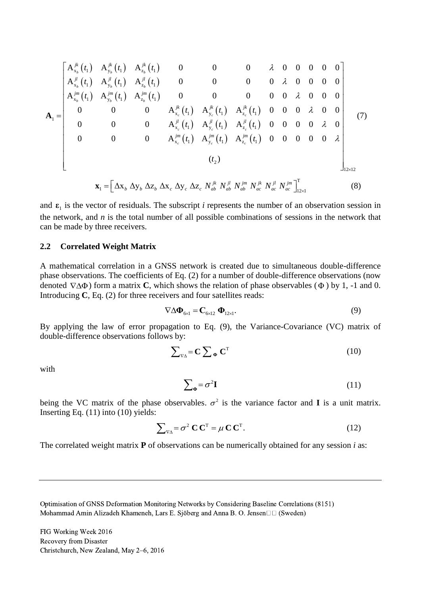$$
\mathbf{A}_{1} = \begin{bmatrix}\nA_{x_{b}}^{jk}(t_{1}) & A_{y_{b}}^{jk}(t_{1}) & A_{z_{b}}^{jk}(t_{1}) & 0 & 0 & 0 & \lambda & 0 & 0 & 0 & 0 \\
A_{x_{b}}^{jl}(t_{1}) & A_{y_{b}}^{jl}(t_{1}) & A_{z_{b}}^{jl}(t_{1}) & 0 & 0 & 0 & \lambda & 0 & 0 & 0 & 0 \\
A_{y_{b}}^{im}(t_{1}) & A_{y_{b}}^{jm}(t_{1}) & A_{z_{b}}^{jm}(t_{1}) & 0 & 0 & 0 & 0 & \lambda & 0 & 0 & 0 \\
0 & 0 & 0 & A_{x_{c}}^{jk}(t_{1}) & A_{y_{c}}^{jk}(t_{1}) & A_{z_{c}}^{jk}(t_{1}) & 0 & 0 & 0 & \lambda & 0 & 0 \\
0 & 0 & 0 & A_{x_{c}}^{jl}(t_{1}) & A_{y_{c}}^{jl}(t_{1}) & A_{z_{c}}^{jl}(t_{1}) & 0 & 0 & 0 & \lambda & 0 \\
0 & 0 & 0 & A_{x_{c}}^{jm}(t_{1}) & A_{y_{c}}^{jm}(t_{1}) & A_{z_{c}}^{jm}(t_{1}) & 0 & 0 & 0 & 0 & \lambda \\
0 & 0 & 0 & A_{x_{c}}^{jm}(t_{1}) & A_{y_{c}}^{jm}(t_{1}) & A_{z_{c}}^{jm}(t_{1}) & 0 & 0 & 0 & 0 & \lambda \\
0 & 0 & 0 & A_{x_{c}}^{jm}(t_{1}) & A_{y_{c}}^{jm}(t_{1}) & A_{z_{c}}^{jm}(t_{1}) & 0 & 0 & 0 & 0 & \lambda \\
0 & 0 & 0 & 0 & 0 & 0 & 0 & 0 & \lambda\n\end{bmatrix}
$$
\n
$$
\mathbf{x}_{1} = \begin{bmatrix}\Delta x_{b} \Delta y_{b} \Delta z_{b} \Delta x_{c} \Delta y_{c} \Delta z_{c} & N_{ab}^{jk} N_{ab}^{jl} & N_{ab}^{jk} & N_{ac}^{jl} & N_{ac}^{jm} \end{bmatrix}^{T}_{12x1}
$$
\n
$$
(8)
$$

and  $\varepsilon_1$  is the vector of residuals. The subscript *i* represents the number of an observation session in the network, and *n* is the total number of all possible combinations of sessions in the network that can be made by three receivers.

#### **2.2 Correlated Weight Matrix**

A mathematical correlation in a GNSS network is created due to simultaneous double-difference phase observations. The coefficients of Eq. (2) for a number of double-difference observations (now denoted  $\nabla \Delta \Phi$ ) form a matrix **C**, which shows the relation of phase observables ( $\Phi$ ) by 1, -1 and 0. Introducing **C**, Eq. (2) for three receivers and four satellites reads:

$$
\nabla \Delta \mathbf{\Phi}_{6\times 1} = \mathbf{C}_{6\times 12} \mathbf{\Phi}_{12\times 1}.
$$
 (9)

By applying the law of error propagation to Eq. (9), the Variance-Covariance (VC) matrix of double-difference observations follows by:

$$
\sum_{\nabla \Delta} = \mathbf{C} \sum_{\mathbf{\Phi}} \mathbf{C}^{\mathrm{T}} \tag{10}
$$

with

$$
\sum_{\Phi} = \sigma^2 \mathbf{I} \tag{11}
$$

being the VC matrix of the phase observables.  $\sigma^2$  is the variance factor and **I** is a unit matrix. Inserting Eq.  $(11)$  into  $(10)$  yields:

$$
\sum_{\mathbf{v}_{\mathbf{\Delta}}} = \sigma^2 \mathbf{C} \mathbf{C}^{\mathsf{T}} = \mu \mathbf{C} \mathbf{C}^{\mathsf{T}}.
$$
 (12)

The correlated weight matrix **P** of observations can be numerically obtained for any session *i* as:

Optimisation of GNSS Deformation Monitoring Networks by Considering Baseline Correlations (8151) Mohammad Amin Alizadeh Khameneh, Lars E. Sjöberg and Anna B. O. Jensen $\Box$  (Sweden)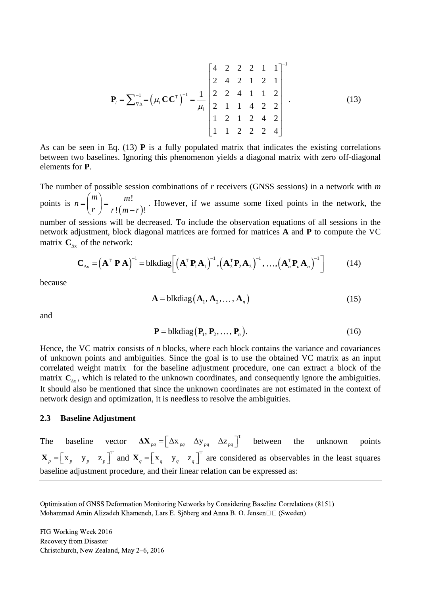$$
\mathbf{P}_{i} = \sum_{\mathbf{v}_{\Delta}}^{-1} = \left(\mu_{i} \mathbf{C} \mathbf{C}^{\mathrm{T}}\right)^{-1} = \frac{1}{\mu_{i}} \begin{bmatrix} 4 & 2 & 2 & 2 & 1 & 1 \\ 2 & 4 & 2 & 1 & 2 & 1 \\ 2 & 2 & 4 & 1 & 1 & 2 \\ 2 & 1 & 1 & 4 & 2 & 2 \\ 1 & 2 & 1 & 2 & 4 & 2 \\ 1 & 1 & 2 & 2 & 2 & 4 \end{bmatrix} . \tag{13}
$$

As can be seen in Eq. (13) **P** is a fully populated matrix that indicates the existing correlations between two baselines. Ignoring this phenomenon yields a diagonal matrix with zero off-diagonal elements for **P**.

The number of possible session combinations of *r* receivers (GNSS sessions) in a network with *m* points is  $(m-r)$ !  $\sqrt{1-(m-r)!}$  $n = \binom{m}{r} = \frac{m!}{r!(m-r)!}$  $=\binom{m}{r} = \frac{m!}{r!(m-r)!}$ . However, if we assume some fixed points in the network, the

number of sessions will be decreased. To include the observation equations of all sessions in the network adjustment, block diagonal matrices are formed for matrices **A** and **P** to compute the VC matrix  $\mathbf{C}_{\Delta x}$  of the network:<br>  $\mathbf{C}_{\Delta x} = (\mathbf{A}^T \mathbf{P} \mathbf{A})^{-1} = \text{blkdiag}\left[ (\mathbf{A}_1^T \mathbf{P}_1 \mathbf{A}_1)^{-1}, (\mathbf{A}_2^T \mathbf{P}_$ matrix  $\mathbf{C}_{\Delta x}$  of the network:

of the network:  
\n
$$
\mathbf{C}_{\Delta x} = (\mathbf{A}^{\mathrm{T}} \mathbf{P} \mathbf{A})^{-1} = \text{blkdiag}\left[\left(\mathbf{A}_{1}^{\mathrm{T}} \mathbf{P}_{1} \mathbf{A}_{1}\right)^{-1}, \left(\mathbf{A}_{2}^{\mathrm{T}} \mathbf{P}_{2} \mathbf{A}_{2}\right)^{-1}, \dots, \left(\mathbf{A}_{n}^{\mathrm{T}} \mathbf{P}_{n} \mathbf{A}_{n}\right)^{-1}\right]
$$
(14)

because

$$
\mathbf{A} = \text{blkdiag}\left(\mathbf{A}_1, \mathbf{A}_2, \dots, \mathbf{A}_n\right) \tag{15}
$$

and

$$
\mathbf{P} = \text{blkdiag}\left(\mathbf{P}_1, \mathbf{P}_2, \dots, \mathbf{P}_n\right). \tag{16}
$$

Hence, the VC matrix consists of *n* blocks, where each block contains the variance and covariances of unknown points and ambiguities. Since the goal is to use the obtained VC matrix as an input correlated weight matrix for the baseline adjustment procedure, one can extract a block of the matrix  $C_{\Delta x}$ , which is related to the unknown coordinates, and consequently ignore the ambiguities. It should also be mentioned that since the unknown coordinates are not estimated in the context of network design and optimization, it is needless to resolve the ambiguities.

#### **2.3 Baseline Adjustment**

The baseline vector  $\Delta \mathbf{X}_{pq} = \begin{bmatrix} \Delta \mathbf{x}_{pq} & \Delta \mathbf{y}_{pq} & \Delta \mathbf{z}_{pq} \end{bmatrix}^T$  between the unknown points  $\mathbf{X}_p = \begin{bmatrix} x_p & y_p & z_p \end{bmatrix}^T$  and  $\mathbf{X}_q = \begin{bmatrix} x_q & y_q & z_q \end{bmatrix}^T$  are considered as observables in the least squares baseline adjustment procedure, and their linear relation can be expressed as:

Optimisation of GNSS Deformation Monitoring Networks by Considering Baseline Correlations (8151) Mohammad Amin Alizadeh Khameneh, Lars E. Sjöberg and Anna B. O. Jensen $\square \square$  (Sweden)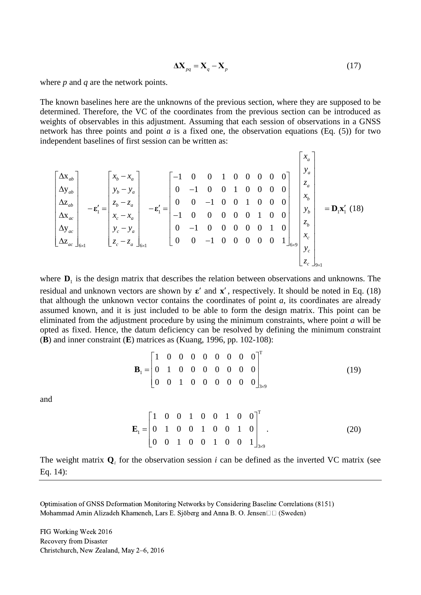$$
\Delta \mathbf{X}_{pq} = \mathbf{X}_q - \mathbf{X}_p \tag{17}
$$

where *p* and *q* are the network points.

The known baselines here are the unknowns of the previous section, where they are supposed to be determined. Therefore, the VC of the coordinates from the previous section can be introduced as weights of observables in this adjustment. Assuming that each session of observations in a GNSS network has three points and point *a* is a fixed one, the observation equations (Eq. (5)) for two bbservations in a  $\alpha$ <br>ations (Eq. (5)) for<br> $\begin{bmatrix} x_a \\ x_a \end{bmatrix}$ 

network has three points and point *a* is a fixed one, the observation equations (Eq. (5)) for  
\nindependent baselines of first session can be written as:  
\n
$$
\begin{bmatrix}\n\Delta x_{ab} \\
\Delta y_{ab} \\
\Delta z_{ab} \\
\Delta x_{ac} \\
\Delta y_{ac} \\
\Delta z_{ac}\n\end{bmatrix}\n-\n\mathbf{\varepsilon}'_1 =\n\begin{bmatrix}\nx_b - x_a \\
y_b - y_a \\
z_b - z_a \\
x_c - x_a \\
z_c - z_a\n\end{bmatrix}\n-\n\mathbf{\varepsilon}'_1 =\n\begin{bmatrix}\n-1 & 0 & 0 & 1 & 0 & 0 & 0 & 0 & 0 \\
0 & -1 & 0 & 0 & 1 & 0 & 0 & 0 & 0 \\
0 & 0 & -1 & 0 & 0 & 1 & 0 & 0 & 0 \\
0 & -1 & 0 & 0 & 0 & 0 & 1 & 0 & 0 \\
0 & -1 & 0 & 0 & 0 & 0 & 0 & 1 & 0 \\
0 & 0 & -1 & 0 & 0 & 0 & 0 & 0 & 1\n\end{bmatrix}\n\begin{bmatrix}\nx_a \\
y_a \\
z_a \\
y_b \\
y_b \\
z_b \\
z_c\n\end{bmatrix}\n=\n\mathbf{D}_1\mathbf{x}'_1(18)
$$

where  $\mathbf{D}_1$  is the design matrix that describes the relation between observations and unknowns. The residual and unknown vectors are shown by  $\varepsilon'$  and  $x'$ , respectively. It should be noted in Eq. (18) that although the unknown vector contains the coordinates of point *a*, its coordinates are already assumed known, and it is just included to be able to form the design matrix. This point can be eliminated from the adjustment procedure by using the minimum constraints, where point *a* will be opted as fixed. Hence, the datum deficiency can be resolved by defining the minimum constraint (**B**) and inner constraint (**E**) matrices as (Kuang, 1996, pp. 102-108):

$$
\mathbf{B}_{1} = \begin{bmatrix} 1 & 0 & 0 & 0 & 0 & 0 & 0 & 0 \\ 0 & 1 & 0 & 0 & 0 & 0 & 0 & 0 \\ 0 & 0 & 1 & 0 & 0 & 0 & 0 & 0 \end{bmatrix}^{T}
$$
(19)

and

$$
\mathbf{E}_{1} = \begin{bmatrix} 1 & 0 & 0 & 1 & 0 & 0 & 1 & 0 & 0 \\ 0 & 1 & 0 & 0 & 1 & 0 & 0 & 1 & 0 \\ 0 & 0 & 1 & 0 & 0 & 1 & 0 & 0 & 1 \end{bmatrix}_{3\times 9}^{T}.
$$
 (20)

The weight matrix  $Q_i$  for the observation session *i* can be defined as the inverted VC matrix (see Eq. 14):

Optimisation of GNSS Deformation Monitoring Networks by Considering Baseline Correlations (8151) Mohammad Amin Alizadeh Khameneh, Lars E. Sjöberg and Anna B. O. Jensen $\square \square$  (Sweden)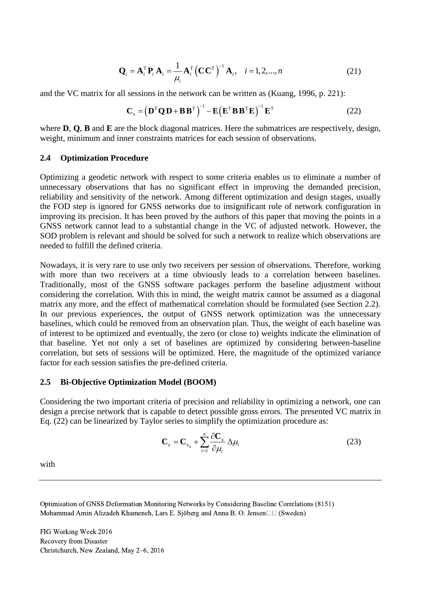$$
\mathbf{Q}_{i} = \mathbf{A}_{i}^{\mathrm{T}} \mathbf{P}_{i} \mathbf{A}_{i} = \frac{1}{\mu_{i}} \mathbf{A}_{i}^{\mathrm{T}} \left( \mathbf{C} \mathbf{C}^{\mathrm{T}} \right)^{-1} \mathbf{A}_{i}, \quad i = 1, 2, ..., n
$$
 (21)

and the VC matrix for all sessions in the network can be written as (Kuang, 1996, p. 221):

sessions in the network can be written as (Kuang, 1996, p. 221):  
\n
$$
\mathbf{C}_x = \left(\mathbf{D}^T \mathbf{Q} \mathbf{D} + \mathbf{B} \mathbf{B}^T\right)^{-1} - \mathbf{E} \left(\mathbf{E}^T \mathbf{B} \mathbf{B}^T \mathbf{E}\right)^{-1} \mathbf{E}^T
$$
\n(22)

where **D**, **Q**, **B** and **E** are the block diagonal matrices. Here the submatrices are respectively, design, weight, minimum and inner constraints matrices for each session of observations.

#### **2.4 Optimization Procedure**

Optimizing a geodetic network with respect to some criteria enables us to eliminate a number of unnecessary observations that has no significant effect in improving the demanded precision, reliability and sensitivity of the network. Among different optimization and design stages, usually the FOD step is ignored for GNSS networks due to insignificant role of network configuration in improving its precision. It has been proved by the authors of this paper that moving the points in a GNSS network cannot lead to a substantial change in the VC of adjusted network. However, the SOD problem is relevant and should be solved for such a network to realize which observations are needed to fulfill the defined criteria.

Nowadays, it is very rare to use only two receivers per session of observations. Therefore, working with more than two receivers at a time obviously leads to a correlation between baselines. Traditionally, most of the GNSS software packages perform the baseline adjustment without considering the correlation. With this in mind, the weight matrix cannot be assumed as a diagonal matrix any more, and the effect of mathematical correlation should be formulated (see Section 2.2). In our previous experiences, the output of GNSS network optimization was the unnecessary baselines, which could be removed from an observation plan. Thus, the weight of each baseline was of interest to be optimized and eventually, the zero (or close to) weights indicate the elimination of that baseline. Yet not only a set of baselines are optimized by considering between-baseline correlation, but sets of sessions will be optimized. Here, the magnitude of the optimized variance factor for each session satisfies the pre-defined criteria.

#### **2.5 Bi-Objective Optimization Model (BOOM)**

Considering the two important criteria of precision and reliability in optimizing a network, one can design a precise network that is capable to detect possible gross errors. The presented VC matrix in Eq. (22) can be linearized by Taylor series to simplify the optimization procedure as:

$$
\mathbf{C}_{\mathbf{x}} = \mathbf{C}_{\mathbf{x}_0} + \sum_{i=1}^{n} \frac{\partial \mathbf{C}_{\mathbf{x}}}{\partial \mu_i} \Delta \mu_i
$$
 (23)

with

Optimisation of GNSS Deformation Monitoring Networks by Considering Baseline Correlations (8151) Mohammad Amin Alizadeh Khameneh, Lars E. Sjöberg and Anna B. O. Jensen $\Box$  (Sweden)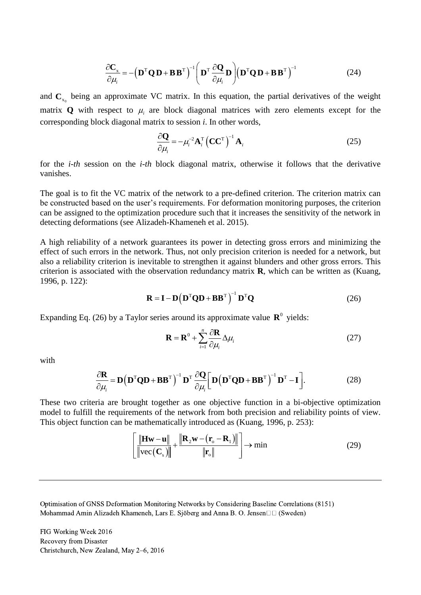$$
\frac{\partial \mathbf{C}_x}{\partial \mu_i} = -\left(\mathbf{D}^{\mathrm{T}} \mathbf{Q} \mathbf{D} + \mathbf{B} \mathbf{B}^{\mathrm{T}}\right)^{-1} \left(\mathbf{D}^{\mathrm{T}} \frac{\partial \mathbf{Q}}{\partial \mu_i} \mathbf{D}\right) \left(\mathbf{D}^{\mathrm{T}} \mathbf{Q} \mathbf{D} + \mathbf{B} \mathbf{B}^{\mathrm{T}}\right)^{-1}
$$
(24)

and  $\mathbf{C}_{x_0}$  being an approximate VC matrix. In this equation, the partial derivatives of the weight matrix  $Q$  with respect to  $\mu_i$  are block diagonal matrices with zero elements except for the corresponding block diagonal matrix to session *i*. In other words,

$$
\frac{\partial \mathbf{Q}}{\partial \mu_i} = -\mu_i^{-2} \mathbf{A}_i^{\mathrm{T}} \left( \mathbf{C} \mathbf{C}^{\mathrm{T}} \right)^{-1} \mathbf{A}_i
$$
\n(25)

for the *i-th* session on the *i-th* block diagonal matrix, otherwise it follows that the derivative vanishes.

The goal is to fit the VC matrix of the network to a pre-defined criterion. The criterion matrix can be constructed based on the user's requirements. For deformation monitoring purposes, the criterion can be assigned to the optimization procedure such that it increases the sensitivity of the network in detecting deformations (see Alizadeh-Khameneh et al. 2015).

A high reliability of a network guarantees its power in detecting gross errors and minimizing the effect of such errors in the network. Thus, not only precision criterion is needed for a network, but also a reliability criterion is inevitable to strengthen it against blunders and other gross errors. This criterion is associated with the observation redundancy matrix **R**, which can be written as (Kuang, 1996, p. 122):

$$
\mathbf{R} = \mathbf{I} - \mathbf{D} (\mathbf{D}^{\mathrm{T}} \mathbf{Q} \mathbf{D} + \mathbf{B} \mathbf{B}^{\mathrm{T}})^{-1} \mathbf{D}^{\mathrm{T}} \mathbf{Q}
$$
 (26)

Expanding Eq. (26) by a Taylor series around its approximate value  $\mathbb{R}^0$  yields:

$$
\mathbf{R} = \mathbf{R}^0 + \sum_{i=1}^n \frac{\partial \mathbf{R}}{\partial \mu_i} \Delta \mu_i
$$
 (27)

with

$$
\frac{\partial \mathbf{R}}{\partial \mu_i} = \mathbf{D} (\mathbf{D}^{\mathrm{T}} \mathbf{Q} \mathbf{D} + \mathbf{B} \mathbf{B}^{\mathrm{T}})^{-1} \mathbf{D}^{\mathrm{T}} \frac{\partial \mathbf{Q}}{\partial \mu_i} \Big[ \mathbf{D} (\mathbf{D}^{\mathrm{T}} \mathbf{Q} \mathbf{D} + \mathbf{B} \mathbf{B}^{\mathrm{T}})^{-1} \mathbf{D}^{\mathrm{T}} - \mathbf{I} \Big].
$$
 (28)

These two criteria are brought together as one objective function in a bi-objective optimization model to fulfill the requirements of the network from both precision and reliability points of view.

This object function can be mathematically introduced as (Kuang, 1996, p. 253):  
\n
$$
\left[ \frac{\|\mathbf{H} \mathbf{w} - \mathbf{u}\|}{\|\mathbf{v} \mathbf{c}(\mathbf{C}_s)\|} + \frac{\|\mathbf{R}_2 \mathbf{w} - (\mathbf{r}_o - \mathbf{R}_1)\|}{\|\mathbf{r}_o\|} \right] \rightarrow \min
$$
\n(29)

Optimisation of GNSS Deformation Monitoring Networks by Considering Baseline Correlations (8151) Mohammad Amin Alizadeh Khameneh, Lars E. Sjöberg and Anna B. O. Jensen $\Box$  (Sweden)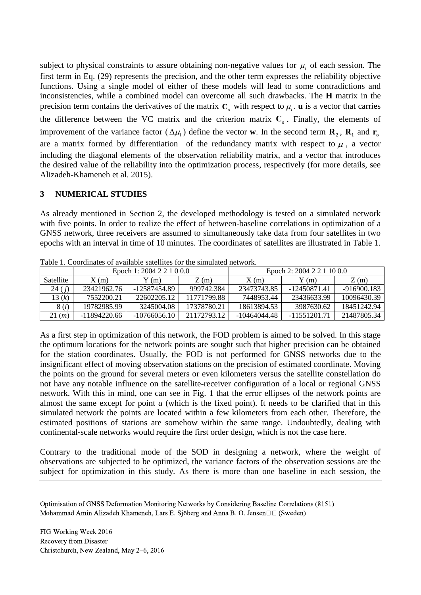subject to physical constraints to assure obtaining non-negative values for  $\mu_i$  of each session. The first term in Eq. (29) represents the precision, and the other term expresses the reliability objective functions. Using a single model of either of these models will lead to some contradictions and inconsistencies, while a combined model can overcome all such drawbacks. The **H** matrix in the precision term contains the derivatives of the matrix  $C_x$  with respect to  $\mu_i$ . **u** is a vector that carries the difference between the VC matrix and the criterion matrix  $C_s$ . Finally, the elements of improvement of the variance factor  $(\Delta \mu_i)$  define the vector **w**. In the second term **R**<sub>2</sub>, **R**<sub>1</sub> and **r**<sub>0</sub> are a matrix formed by differentiation of the redundancy matrix with respect to  $\mu$ , a vector including the diagonal elements of the observation reliability matrix, and a vector that introduces the desired value of the reliability into the optimization process, respectively (for more details, see Alizadeh-Khameneh et al. 2015).

## **3 NUMERICAL STUDIES**

As already mentioned in Section 2, the developed methodology is tested on a simulated network with five points. In order to realize the effect of between-baseline correlations in optimization of a GNSS network, three receivers are assumed to simultaneously take data from four satellites in two epochs with an interval in time of 10 minutes. The coordinates of satellites are illustrated in Table 1.

|           | Epoch 1: 2004 2 2 1 0 0.0 |                |             | Epoch 2: 2004 2 2 1 10 0.0 |              |               |
|-----------|---------------------------|----------------|-------------|----------------------------|--------------|---------------|
| Satellite | X(m)                      | $Y$ (m)        | Z(m)        | X(m)                       | $Y$ (m)      | Z(m)          |
| 24(j)     | 23421962.76               | -12587454.89   | 999742.384  | 23473743.85                | -12450871.41 | $-916900.183$ |
| 13 $(k)$  | 7552200.21                | 22602205.12    | 11771799.88 | 7448953.44                 | 23436633.99  | 10096430.39   |
| 8(l)      | 19782985.99               | 3245004.08     | 17378780.21 | 18613894.53                | 3987630.62   | 18451242.94   |
| 21(m)     | -11894220.66              | $-10766056.10$ | 21172793.12 | -10464044.48               | -11551201.71 | 21487805.34   |

Table 1. Coordinates of available satellites for the simulated network.

As a first step in optimization of this network, the FOD problem is aimed to be solved. In this stage the optimum locations for the network points are sought such that higher precision can be obtained for the station coordinates. Usually, the FOD is not performed for GNSS networks due to the insignificant effect of moving observation stations on the precision of estimated coordinate. Moving the points on the ground for several meters or even kilometers versus the satellite constellation do not have any notable influence on the satellite-receiver configuration of a local or regional GNSS network. With this in mind, one can see in Fig. 1 that the error ellipses of the network points are almost the same except for point *a* (which is the fixed point). It needs to be clarified that in this simulated network the points are located within a few kilometers from each other. Therefore, the estimated positions of stations are somehow within the same range. Undoubtedly, dealing with continental-scale networks would require the first order design, which is not the case here.

Contrary to the traditional mode of the SOD in designing a network, where the weight of observations are subjected to be optimized, the variance factors of the observation sessions are the subject for optimization in this study. As there is more than one baseline in each session, the

Optimisation of GNSS Deformation Monitoring Networks by Considering Baseline Correlations (8151) Mohammad Amin Alizadeh Khameneh, Lars E. Sjöberg and Anna B. O. Jensen $\Box$  (Sweden)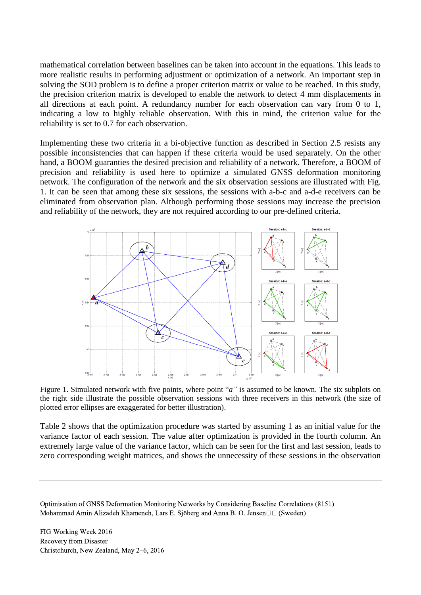mathematical correlation between baselines can be taken into account in the equations. This leads to more realistic results in performing adjustment or optimization of a network. An important step in solving the SOD problem is to define a proper criterion matrix or value to be reached. In this study, the precision criterion matrix is developed to enable the network to detect 4 mm displacements in all directions at each point. A redundancy number for each observation can vary from 0 to 1, indicating a low to highly reliable observation. With this in mind, the criterion value for the reliability is set to 0.7 for each observation.

Implementing these two criteria in a bi-objective function as described in Section 2.5 resists any possible inconsistencies that can happen if these criteria would be used separately. On the other hand, a BOOM guaranties the desired precision and reliability of a network. Therefore, a BOOM of precision and reliability is used here to optimize a simulated GNSS deformation monitoring network. The configuration of the network and the six observation sessions are illustrated with Fig. 1. It can be seen that among these six sessions, the sessions with a-b-c and a-d-e receivers can be eliminated from observation plan. Although performing those sessions may increase the precision and reliability of the network, they are not required according to our pre-defined criteria.



Figure 1. Simulated network with five points, where point "*a*" is assumed to be known. The six subplots on the right side illustrate the possible observation sessions with three receivers in this network (the size of plotted error ellipses are exaggerated for better illustration).

Table 2 shows that the optimization procedure was started by assuming 1 as an initial value for the variance factor of each session. The value after optimization is provided in the fourth column. An extremely large value of the variance factor, which can be seen for the first and last session, leads to zero corresponding weight matrices, and shows the unnecessity of these sessions in the observation

Optimisation of GNSS Deformation Monitoring Networks by Considering Baseline Correlations (8151) Mohammad Amin Alizadeh Khameneh, Lars E. Sjöberg and Anna B. O. Jensen $\Box$  (Sweden)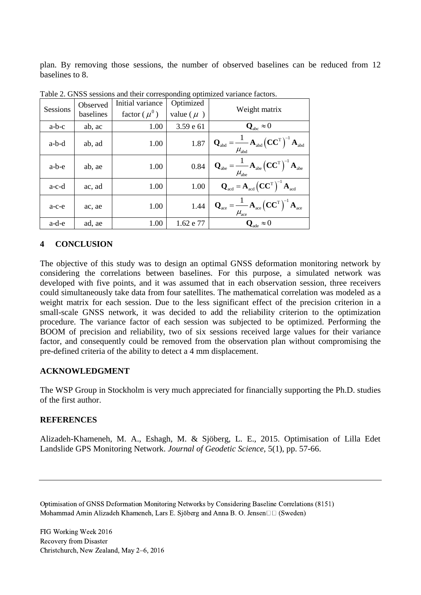plan. By removing those sessions, the number of observed baselines can be reduced from 12 baselines to 8.

|          |           |                    | $\mathbf{m}\mathbf{m}\mathbf{m}$ |                                                                                                                                                                    |  |
|----------|-----------|--------------------|----------------------------------|--------------------------------------------------------------------------------------------------------------------------------------------------------------------|--|
|          | Observed  | Initial variance   | Optimized                        | Weight matrix                                                                                                                                                      |  |
| Sessions | baselines | factor ( $\mu^0$ ) | value ( $\mu$ )                  |                                                                                                                                                                    |  |
| $a-b-c$  | ab, ac    | 1.00               | 3.59 e 61                        | $\mathbf{Q}_{abc} \approx 0$                                                                                                                                       |  |
| a-b-d    | ab, ad    | 1.00               | 1.87                             | $\mathbf{Q}_{\text{abd}} = \frac{1}{2} \mathbf{A}_{\text{abd}} \left( \mathbf{C} \mathbf{C}^{\text{T}} \right)^{-1} \mathbf{A}_{\text{abd}}$<br>$\mu_{\text{abd}}$ |  |
| a-b-e    | ab, ae    | 1.00               | 0.84                             | $=\frac{1}{\mu_{\text{abe}}}\mathbf{A}_{\text{abe}}\left(\mathbf{C}\mathbf{C}^{\text{T}}\right)^{-1}\mathbf{A}_{\text{abe}}$<br>$\mathbf{Q}_{\text{abe}}$          |  |
| $a-c-d$  | ac, ad    | 1.00               | 1.00                             | $\mathbf{Q}_{\text{acd}} = \mathbf{A}_{\text{acd}} \left( \mathbf{C} \mathbf{C}^{\text{T}} \right)^{-1} \mathbf{A}_{\text{acd}}$                                   |  |
| $a-c-e$  | ac, ae    | 1.00               | 1.44                             | $=\frac{1}{2} \mathbf{A}_{\text{ace}} (\mathbf{C} \mathbf{C}^{\text{T}})^{-1} \mathbf{A}_{\text{ace}}$<br>$\mathbf{Q}_{\text{ace}}$<br>$\mu_{\rm ace}$             |  |
| a-d-e    | ad, ae    | 1.00               | 1.62 e 77                        | ${\bf Q}_{\rm ade} \approx 0$                                                                                                                                      |  |

Table 2. GNSS sessions and their corresponding optimized variance factors.

# **4 CONCLUSION**

The objective of this study was to design an optimal GNSS deformation monitoring network by considering the correlations between baselines. For this purpose, a simulated network was developed with five points, and it was assumed that in each observation session, three receivers could simultaneously take data from four satellites. The mathematical correlation was modeled as a weight matrix for each session. Due to the less significant effect of the precision criterion in a small-scale GNSS network, it was decided to add the reliability criterion to the optimization procedure. The variance factor of each session was subjected to be optimized. Performing the BOOM of precision and reliability, two of six sessions received large values for their variance factor, and consequently could be removed from the observation plan without compromising the pre-defined criteria of the ability to detect a 4 mm displacement.

### **ACKNOWLEDGMENT**

The WSP Group in Stockholm is very much appreciated for financially supporting the Ph.D. studies of the first author.

### **REFERENCES**

Alizadeh-Khameneh, M. A., Eshagh, M. & Sjöberg, L. E., 2015. Optimisation of Lilla Edet Landslide GPS Monitoring Network. *Journal of Geodetic Science,* 5(1), pp. 57-66.

Optimisation of GNSS Deformation Monitoring Networks by Considering Baseline Correlations (8151) Mohammad Amin Alizadeh Khameneh, Lars E. Sjöberg and Anna B. O. Jensen $\Box$  (Sweden)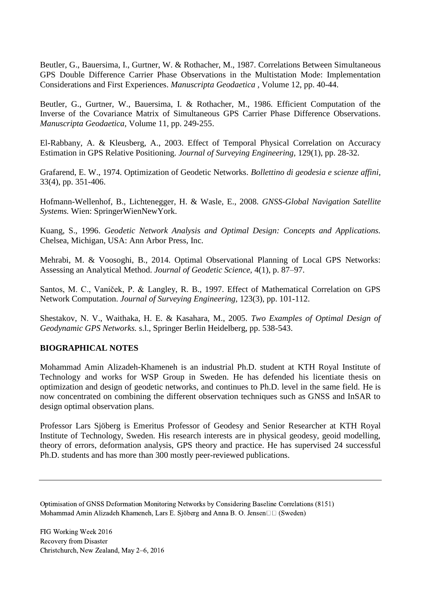Beutler, G., Bauersima, I., Gurtner, W. & Rothacher, M., 1987. Correlations Between Simultaneous GPS Double Difference Carrier Phase Observations in the Multistation Mode: Implementation Considerations and First Experiences. *Manuscripta Geodaetica ,* Volume 12, pp. 40-44.

Beutler, G., Gurtner, W., Bauersima, I. & Rothacher, M., 1986. Efficient Computation of the Inverse of the Covariance Matrix of Simultaneous GPS Carrier Phase Difference Observations. *Manuscripta Geodaetica,* Volume 11, pp. 249-255.

El-Rabbany, A. & Kleusberg, A., 2003. Effect of Temporal Physical Correlation on Accuracy Estimation in GPS Relative Positioning. *Journal of Surveying Engineering,* 129(1), pp. 28-32.

Grafarend, E. W., 1974. Optimization of Geodetic Networks. *Bollettino di geodesia e scienze affini,*  33(4), pp. 351-406.

Hofmann-Wellenhof, B., Lichtenegger, H. & Wasle, E., 2008. *GNSS-Global Navigation Satellite Systems.* Wien: SpringerWienNewYork.

Kuang, S., 1996. *Geodetic Network Analysis and Optimal Design: Concepts and Applications.*  Chelsea, Michigan, USA: Ann Arbor Press, Inc.

Mehrabi, M. & Voosoghi, B., 2014. Optimal Observational Planning of Local GPS Networks: Assessing an Analytical Method. *Journal of Geodetic Science,* 4(1), p. 87–97.

Santos, M. C., Vaníček, P. & Langley, R. B., 1997. Effect of Mathematical Correlation on GPS Network Computation. *Journal of Surveying Engineering,* 123(3), pp. 101-112.

Shestakov, N. V., Waithaka, H. E. & Kasahara, M., 2005. *Two Examples of Optimal Design of Geodynamic GPS Networks.* s.l., Springer Berlin Heidelberg, pp. 538-543.

## **BIOGRAPHICAL NOTES**

Mohammad Amin Alizadeh-Khameneh is an industrial Ph.D. student at KTH Royal Institute of Technology and works for WSP Group in Sweden. He has defended his licentiate thesis on optimization and design of geodetic networks, and continues to Ph.D. level in the same field. He is now concentrated on combining the different observation techniques such as GNSS and InSAR to design optimal observation plans.

Professor Lars Sjöberg is Emeritus Professor of Geodesy and Senior Researcher at KTH Royal Institute of Technology, Sweden. His research interests are in physical geodesy, geoid modelling, theory of errors, deformation analysis, GPS theory and practice. He has supervised 24 successful Ph.D. students and has more than 300 mostly peer-reviewed publications.

Optimisation of GNSS Deformation Monitoring Networks by Considering Baseline Correlations (8151) Mohammad Amin Alizadeh Khameneh, Lars E. Sjöberg and Anna B. O. Jensen $\Box$  (Sweden)